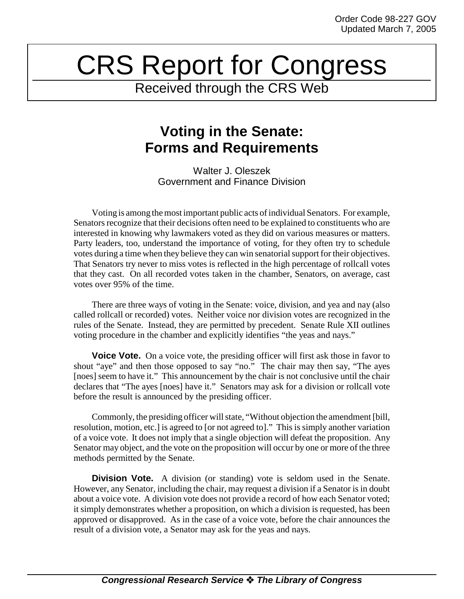## CRS Report for Congress

Received through the CRS Web

## **Voting in the Senate: Forms and Requirements**

Walter J. Oleszek Government and Finance Division

Voting is among the most important public acts of individual Senators. For example, Senators recognize that their decisions often need to be explained to constituents who are interested in knowing why lawmakers voted as they did on various measures or matters. Party leaders, too, understand the importance of voting, for they often try to schedule votes during a time when they believe they can win senatorial support for their objectives. That Senators try never to miss votes is reflected in the high percentage of rollcall votes that they cast. On all recorded votes taken in the chamber, Senators, on average, cast votes over 95% of the time.

There are three ways of voting in the Senate: voice, division, and yea and nay (also called rollcall or recorded) votes. Neither voice nor division votes are recognized in the rules of the Senate. Instead, they are permitted by precedent. Senate Rule XII outlines voting procedure in the chamber and explicitly identifies "the yeas and nays."

**Voice Vote.** On a voice vote, the presiding officer will first ask those in favor to shout "aye" and then those opposed to say "no." The chair may then say, "The ayes [noes] seem to have it." This announcement by the chair is not conclusive until the chair declares that "The ayes [noes] have it." Senators may ask for a division or rollcall vote before the result is announced by the presiding officer.

Commonly, the presiding officer will state, "Without objection the amendment [bill, resolution, motion, etc.] is agreed to [or not agreed to]." This is simply another variation of a voice vote. It does not imply that a single objection will defeat the proposition. Any Senator may object, and the vote on the proposition will occur by one or more of the three methods permitted by the Senate.

**Division Vote.** A division (or standing) vote is seldom used in the Senate. However, any Senator, including the chair, may request a division if a Senator is in doubt about a voice vote. A division vote does not provide a record of how each Senator voted; it simply demonstrates whether a proposition, on which a division is requested, has been approved or disapproved. As in the case of a voice vote, before the chair announces the result of a division vote, a Senator may ask for the yeas and nays.